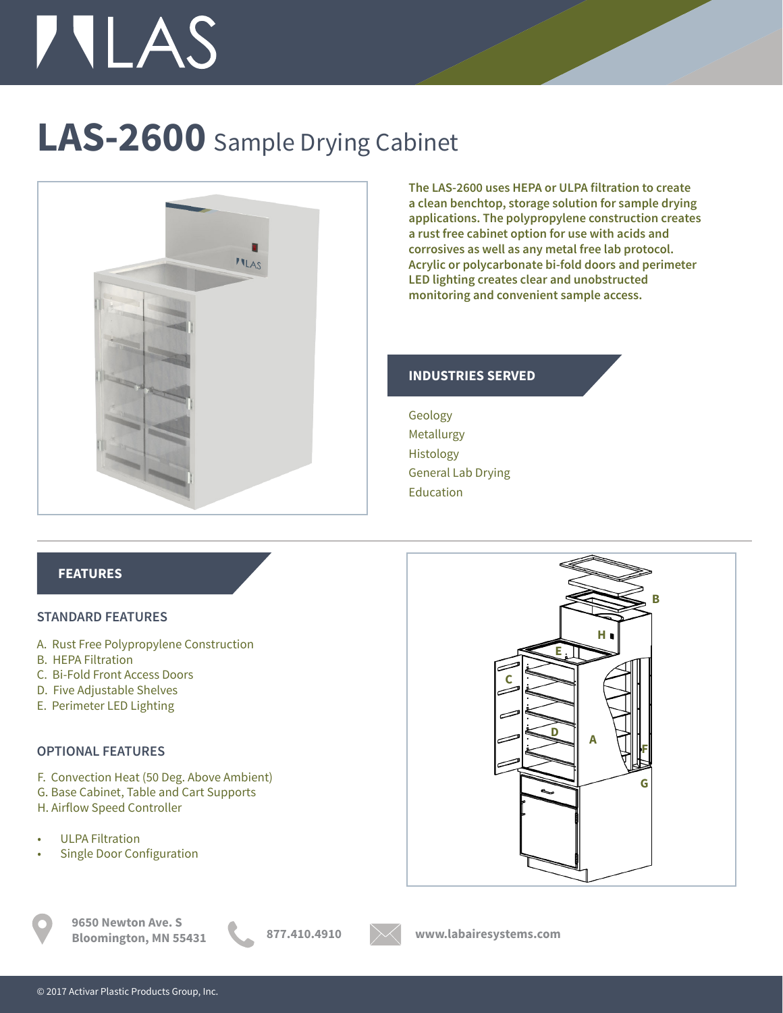# **TILAS**

## **LAS-2600** Sample Drying Cabinet



**The LAS-2600 uses HEPA or ULPA filtration to create a clean benchtop, storage solution for sample drying applications. The polypropylene construction creates a rust free cabinet option for use with acids and corrosives as well as any metal free lab protocol. Acrylic or polycarbonate bi-fold doors and perimeter LED lighting creates clear and unobstructed monitoring and convenient sample access.** 

**A**

**H**

**D**

**E**

**B**

**F**

**G**

#### **INDUSTRIES SERVED**

Geology Metallurgy Histology General Lab Drying Education

### **FEATURES**

#### **STANDARD FEATURES**

- A. Rust Free Polypropylene Construction
- B. HEPA Filtration
- C. Bi-Fold Front Access Doors
- D. Five Adjustable Shelves
- E. Perimeter LED Lighting

#### **OPTIONAL FEATURES**

F. Convection Heat (50 Deg. Above Ambient)

- G. Base Cabinet, Table and Cart Supports
- H. Airflow Speed Controller
- ULPA Filtration
- Single Door Configuration

**9650 Newton Ave. S Bloomington, MN 55431 877.410.4910 www.labairesystems.com**



**C**